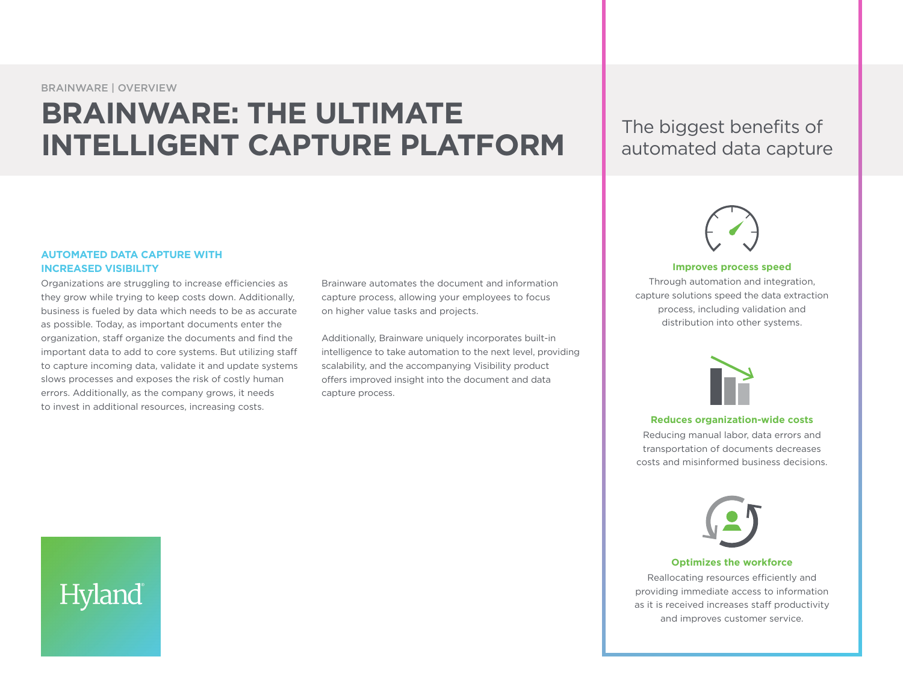BRAINWARE | OVERVIEW

# **BRAINWARE: THE ULTIMATE INTELLIGENT CAPTURE PLATFORM** The biggest benefits of

automated data capture

#### **AUTOMATED DATA CAPTURE WITH INCREASED VISIBILITY**

Hyland

Organizations are struggling to increase efficiencies as they grow while trying to keep costs down. Additionally, business is fueled by data which needs to be as accurate as possible. Today, as important documents enter the organization, staff organize the documents and find the important data to add to core systems. But utilizing staff to capture incoming data, validate it and update systems slows processes and exposes the risk of costly human errors. Additionally, as the company grows, it needs to invest in additional resources, increasing costs.

Brainware automates the document and information capture process, allowing your employees to focus on higher value tasks and projects.

Additionally, Brainware uniquely incorporates built-in intelligence to take automation to the next level, providing scalability, and the accompanying Visibility product offers improved insight into the document and data capture process.



#### **Improves process speed**

Through automation and integration, capture solutions speed the data extraction process, including validation and distribution into other systems.



#### **Reduces organization-wide costs**

Reducing manual labor, data errors and transportation of documents decreases costs and misinformed business decisions.

#### **Optimizes the workforce**

Reallocating resources efficiently and providing immediate access to information as it is received increases staff productivity and improves customer service.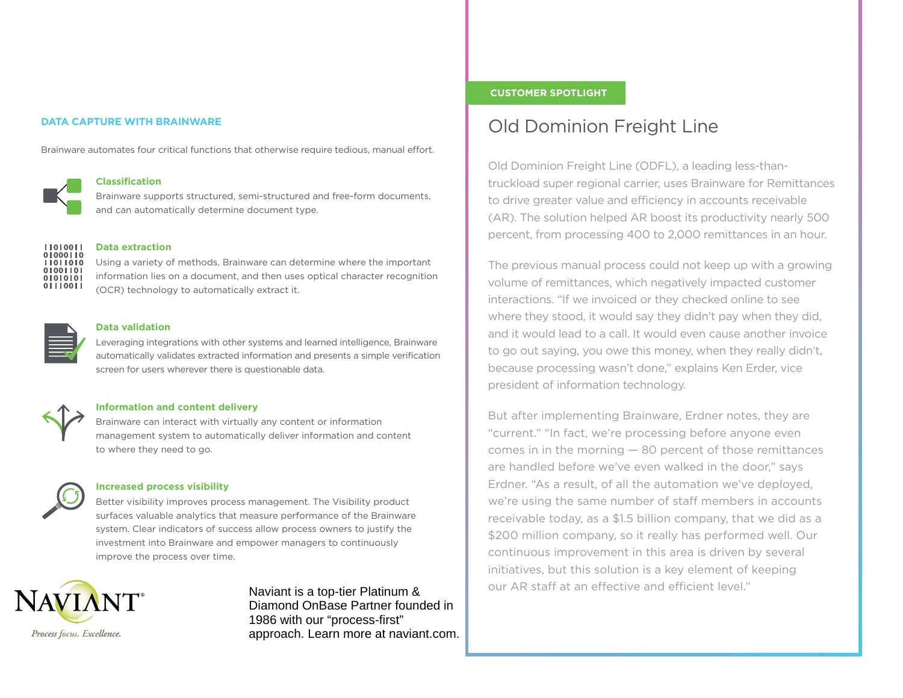#### **DATA CAPTURE WITH BRAINWARE**

Brainware automates four critical functions that otherwise require tedious, manual effort.



#### **Classification**

Brainware supports structured, semi-structured and free-form documents, and can automatically determine document type.



#### **Data extraction**

Using a variety of methods, Brainware can determine where the important information lies on a document, and then uses optical character recognition (OCR) technology to automatically extract it.



#### **Data validation**

Leveraging integrations with other systems and learned intelligence, Brainware automatically validates extracted information and presents a simple verification screen for users wherever there is questionable data.

#### **Information and content delivery**

Brainware can interact with virtually any content or information management system to automatically deliver information and content to where they need to go.



#### **Increased process visibility**

Better visibility improves process management. The Visibility product surfaces valuable analytics that measure performance of the Brainware system. Clear indicators of success allow process owners to justify the investment into Brainware and empower managers to continuously improve the process over time.



### Naviant is a top-tier Platinum & Diamond OnBase Partner founded in 1986 with our "process-first" approach. Learn more at naviant.com.

#### **CUSTOMER SPOTLIGHT**

## Old Dominion Freight Line

Old Dominion Freight Line (ODFL), a leading less-thantruckload super regional carrier, uses Brainware for Remittances to drive greater value and efficiency in accounts receivable (AR). The solution helped AR boost its productivity nearly 500 percent, from processing 400 to 2,000 remittances in an hour.

The previous manual process could not keep up with a growing volume of remittances, which negatively impacted customer interactions. "If we invoiced or they checked online to see where they stood, it would say they didn't pay when they did, and it would lead to a call. It would even cause another invoice to go out saying, you owe this money, when they really didn't, because processing wasn't done," explains Ken Erder, vice president of information technology.

But after implementing Brainware, Erdner notes, they are "current." "In fact, we're processing before anyone even comes in in the morning — 80 percent of those remittances are handled before we've even walked in the door," says Erdner. "As a result, of all the automation we've deployed, we're using the same number of staff members in accounts receivable today, as a \$1.5 billion company, that we did as a \$200 million company, so it really has performed well. Our continuous improvement in this area is driven by several initiatives, but this solution is a key element of keeping our AR staff at an effective and efficient level."